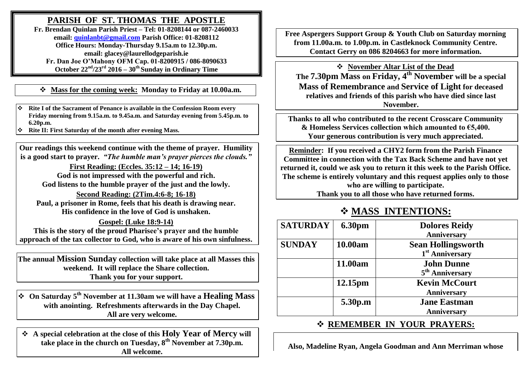## **PARISH OF ST. THOMAS THE APOSTLE**

**Fr. Brendan Quinlan Parish Priest – Tel: 01-8208144 or 087-2460033 email: [quinlanbt@gmail.com](mailto:quinlanbt@gmail.com) Parish Office: 01-8208112 Office Hours: Monday-Thursday 9.15a.m to 12.30p.m. email: glacey@laurellodgeparish.ie Fr. Dan Joe O'Mahony OFM Cap. 01-8200915 / 086-8090633** October  $22^{nd}/23^{rd}$   $2016 - 30^{th}$  Sunday in Ordinary Time

**Mass for the coming week: Monday to Friday at 10.00a.m.** 

 **Rite I of the Sacrament of Penance is available in the Confession Room every Friday morning from 9.15a.m. to 9.45a.m. and Saturday evening from 5.45p.m. to 6.20p.m.**

**Rite II: First Saturday of the month after evening Mass.**

**Our readings this weekend continue with the theme of prayer. Humility is a good start to prayer.** *"The humble man's prayer pierces the clouds."*

**First Reading: (Eccles. 35:12 – 14; 16-19) God is not impressed with the powerful and rich. God listens to the humble prayer of the just and the lowly.**

**Second Reading: (2Tim.4:6-8; 16-18) Paul, a prisoner in Rome, feels that his death is drawing near. His confidence in the love of God is unshaken.**

**Gospel: (Luke 18:9-14) This is the story of the proud Pharisee's prayer and the humble approach of the tax collector to God, who is aware of his own sinfulness.**

**The annual Mission Sunday collection will take place at all Masses this weekend. It will replace the Share collection. Thank you for your support.**

 **On Saturday 5th November at 11.30am we will have a Healing Mass with anointing. Refreshments afterwards in the Day Chapel. All are very welcome.**

 **A special celebration at the close of this Holy Year of Mercy will take place in the church on Tuesday, 8th November at 7.30p.m. All welcome.**

**Free Aspergers Support Group & Youth Club on Saturday morning from 11.00a.m. to 1.00p.m. in Castleknock Community Centre. Contact Gerry on 086 8204663 for more information.**

 **November Altar List of the Dead The 7.30pm Mass on Friday, 4th November will be a special Mass of Remembrance and Service of Light for deceased relatives and friends of this parish who have died since last November.**

**Thanks to all who contributed to the recent Crosscare Community & Homeless Services collection which amounted to €5,400. Your generous contribution is very much appreciated.**

**Reminder: If you received a CHY2 form from the Parish Finance Committee in connection with the Tax Back Scheme and have not yet returned it, could we ask you to return it this week to the Parish Office. The scheme is entirely voluntary and this request applies only to those who are willing to participate. Thank you to all those who have returned forms.**

## **MASS INTENTIONS:**

| <b>SATURDAY</b> | <b>6.30pm</b> | <b>Dolores Reidy</b><br>Anniversary                      |
|-----------------|---------------|----------------------------------------------------------|
| <b>SUNDAY</b>   | 10.00am       | <b>Sean Hollingsworth</b><br>1 <sup>st</sup> Anniversary |
|                 | 11.00am       | <b>John Dunne</b><br>5 <sup>th</sup> Anniversary         |
|                 | 12.15pm       | <b>Kevin McCourt</b><br>Anniversary                      |
|                 | 5.30p.m       | <b>Jane Eastman</b><br>Anniversary                       |

## **REMEMBER IN YOUR PRAYERS:**

**Also, Madeline Ryan, Angela Goodman and Ann Merriman whose**